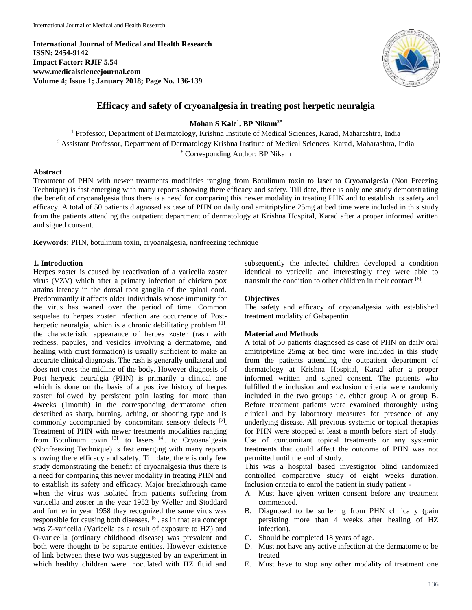**International Journal of Medical and Health Research ISSN: 2454-9142 Impact Factor: RJIF 5.54 www.medicalsciencejournal.com Volume 4; Issue 1; January 2018; Page No. 136-139**



# **Efficacy and safety of cryoanalgesia in treating post herpetic neuralgia**

**Mohan S Kale<sup>1</sup> , BP Nikam2\***

<sup>1</sup> Professor, Department of Dermatology, Krishna Institute of Medical Sciences, Karad, Maharashtra, India <sup>2</sup> Assistant Professor, Department of Dermatology Krishna Institute of Medical Sciences, Karad, Maharashtra, India \* Corresponding Author: BP Nikam

## **Abstract**

Treatment of PHN with newer treatments modalities ranging from Botulinum toxin to laser to Cryoanalgesia (Non Freezing Technique) is fast emerging with many reports showing there efficacy and safety. Till date, there is only one study demonstrating the benefit of cryoanalgesia thus there is a need for comparing this newer modality in treating PHN and to establish its safety and efficacy. A total of 50 patients diagnosed as case of PHN on daily oral amitriptyline 25mg at bed time were included in this study from the patients attending the outpatient department of dermatology at Krishna Hospital, Karad after a proper informed written and signed consent.

**Keywords:** PHN, botulinum toxin, cryoanalgesia, nonfreezing technique

### **1. Introduction**

Herpes zoster is caused by reactivation of a varicella zoster virus (VZV) which after a primary infection of chicken pox attains latency in the dorsal root ganglia of the spinal cord. Predominantly it affects older individuals whose immunity for the virus has waned over the period of time. Common sequelae to herpes zoster infection are occurrence of Postherpetic neuralgia, which is a chronic debilitating problem [1]. the characteristic appearance of herpes zoster (rash with redness, papules, and vesicles involving a dermatome, and healing with crust formation) is usually sufficient to make an accurate clinical diagnosis. The rash is generally unilateral and does not cross the midline of the body. However diagnosis of Post herpetic neuralgia (PHN) is primarily a clinical one which is done on the basis of a positive history of herpes zoster followed by persistent pain lasting for more than 4weeks (1month) in the corresponding dermatome often described as sharp, burning, aching, or shooting type and is commonly accompanied by concomitant sensory defects [2]. Treatment of PHN with newer treatments modalities ranging from Botulinum toxin  $^{[3]}$ . to lasers  $^{[4]}$ . to Cryoanalgesia (Nonfreezing Technique) is fast emerging with many reports showing there efficacy and safety. Till date, there is only few study demonstrating the benefit of cryoanalgesia thus there is a need for comparing this newer modality in treating PHN and to establish its safety and efficacy. Major breakthrough came when the virus was isolated from patients suffering from varicella and zoster in the year 1952 by Weller and Stoddard and further in year 1958 they recognized the same virus was responsible for causing both diseases. <sup>[5]</sup>, as in that era concept was Z-varicella (Varicella as a result of exposure to HZ) and O-varicella (ordinary childhood disease) was prevalent and both were thought to be separate entities. However existence of link between these two was suggested by an experiment in which healthy children were inoculated with HZ fluid and

subsequently the infected children developed a condition identical to varicella and interestingly they were able to transmit the condition to other children in their contact [6].

## **Objectives**

The safety and efficacy of cryoanalgesia with established treatment modality of Gabapentin

## **Material and Methods**

A total of 50 patients diagnosed as case of PHN on daily oral amitriptyline 25mg at bed time were included in this study from the patients attending the outpatient department of dermatology at Krishna Hospital, Karad after a proper informed written and signed consent. The patients who fulfilled the inclusion and exclusion criteria were randomly included in the two groups i.e. either group A or group B. Before treatment patients were examined thoroughly using clinical and by laboratory measures for presence of any underlying disease. All previous systemic or topical therapies for PHN were stopped at least a month before start of study. Use of concomitant topical treatments or any systemic treatments that could affect the outcome of PHN was not permitted until the end of study.

This was a hospital based investigator blind randomized controlled comparative study of eight weeks duration. Inclusion criteria to enrol the patient in study patient -

- A. Must have given written consent before any treatment commenced.
- B. Diagnosed to be suffering from PHN clinically (pain persisting more than 4 weeks after healing of HZ infection).
- C. Should be completed 18 years of age.
- D. Must not have any active infection at the dermatome to be treated
- E. Must have to stop any other modality of treatment one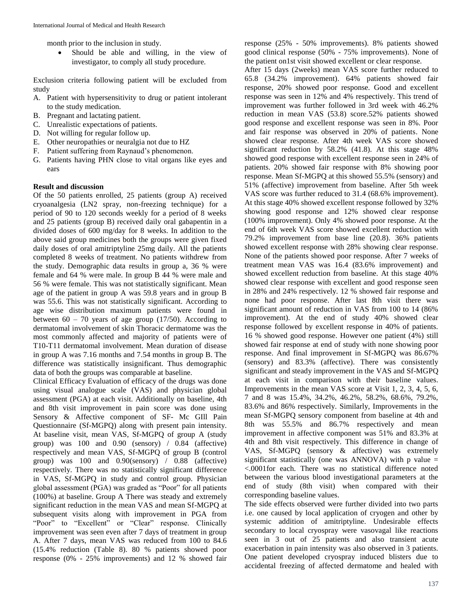month prior to the inclusion in study.

 Should be able and willing, in the view of investigator, to comply all study procedure.

Exclusion criteria following patient will be excluded from study

- A. Patient with hypersensitivity to drug or patient intolerant to the study medication.
- B. Pregnant and lactating patient.
- C. Unrealistic expectations of patients.
- D. Not willing for regular follow up.
- E. Other neuropathies or neuralgia not due to HZ
- F. Patient suffering from Raynaud's phenomenon.
- G. Patients having PHN close to vital organs like eyes and ears

## **Result and discussion**

Of the 50 patients enrolled, 25 patients (group A) received cryoanalgesia (LN2 spray, non-freezing technique) for a period of 90 to 120 seconds weekly for a period of 8 weeks and 25 patients (group B) received daily oral gabapentin in a divided doses of 600 mg/day for 8 weeks. In addition to the above said group medicines both the groups were given fixed daily doses of oral amitriptyline 25mg daily. All the patients completed 8 weeks of treatment. No patients withdrew from the study. Demographic data results in group a, 36 % were female and 64 % were male. In group B 44 % were male and 56 % were female. This was not statistically significant. Mean age of the patient in group A was 59.8 years and in group B was 55.6. This was not statistically significant. According to age wise distribution maximum patients were found in between  $60 - 70$  years of age group (17/50). According to dermatomal involvement of skin Thoracic dermatome was the most commonly affected and majority of patients were of T10-T11 dermatomal involvement. Mean duration of disease in group A was 7.16 months and 7.54 months in group B. The difference was statistically insignificant. Thus demographic data of both the groups was comparable at baseline.

Clinical Efficacy Evaluation of efficacy of the drugs was done using visual analogue scale (VAS) and physician global assessment (PGA) at each visit. Additionally on baseline, 4th and 8th visit improvement in pain score was done using Sensory & Affective component of SF- Mc GIII Pain Questionnaire (Sf-MGPQ) along with present pain intensity. At baseline visit, mean VAS, Sf-MGPQ of group A (study group) was 100 and 0.90 (sensory) / 0.84 (affective) respectively and mean VAS, Sf-MGPQ of group B (control group) was 100 and 0.90(sensory) / 0.88 (affective) respectively. There was no statistically significant difference in VAS, Sf-MGPQ in study and control group. Physician global assessment (PGA) was graded as "Poor" for all patients (100%) at baseline. Group A There was steady and extremely significant reduction in the mean VAS and mean Sf-MGPQ at subsequent visits along with improvement in PGA from "Poor" to "Excellent" or "Clear" response. Clinically improvement was seen even after 7 days of treatment in group A. After 7 days, mean VAS was reduced from 100 to 84.6 (15.4% reduction (Table 8). 80 % patients showed poor response (0% - 25% improvements) and 12 % showed fair

response (25% - 50% improvements). 8% patients showed good clinical response (50% - 75% improvements). None of the patient on1st visit showed excellent or clear response.

After 15 days (2weeks) mean VAS score further reduced to 65.8 (34.2% improvement). 64% patients showed fair response, 20% showed poor response. Good and excellent response was seen in 12% and 4% respectively. This trend of improvement was further followed in 3rd week with 46.2% reduction in mean VAS (53.8) score.52% patients showed good response and excellent response was seen in 8%. Poor and fair response was observed in 20% of patients. None showed clear response. After 4th week VAS score showed significant reduction by 58.2% (41.8). At this stage 48% showed good response with excellent response seen in 24% of patients. 20% showed fair response with 8% showing poor response. Mean Sf-MGPQ at this showed 55.5% (sensory) and 51% (affective) improvement from baseline. After 5th week VAS score was further reduced to 31.4 (68.6% improvement). At this stage 40% showed excellent response followed by 32% showing good response and 12% showed clear response (100% improvement). Only 4% showed poor response. At the end of 6th week VAS score showed excellent reduction with 79.2% improvement from base line (20.8). 36% patients showed excellent response with 28% showing clear response. None of the patients showed poor response. After 7 weeks of treatment mean VAS was 16.4 (83.6% improvement) and showed excellent reduction from baseline. At this stage 40% showed clear response with excellent and good response seen in 28% and 24% respectively. 12 % showed fair response and none had poor response. After last 8th visit there was significant amount of reduction in VAS from 100 to 14 (86% improvement). At the end of study 40% showed clear response followed by excellent response in 40% of patients. 16 % showed good response. However one patient (4%) still showed fair response at end of study with none showing poor response. And final improvement in Sf-MGPQ was 86.67% (sensory) and 83.3% (affective). There was consistently significant and steady improvement in the VAS and Sf-MGPQ at each visit in comparison with their baseline values. Improvements in the mean VAS score at Visit 1, 2, 3, 4, 5, 6, 7 and 8 was 15.4%, 34.2%, 46.2%, 58.2%, 68.6%, 79.2%, 83.6% and 86% respectively. Similarly, Improvements in the mean Sf-MGPQ sensory component from baseline at 4th and 8th was 55.5% and 86.7% respectively and mean improvement in affective component was 51% and 83.3% at 4th and 8th visit respectively. This difference in change of VAS, Sf-MGPQ (sensory & affective) was extremely significant statistically (one was ANNOVA) with p value  $=$ <.0001for each. There was no statistical difference noted between the various blood investigational parameters at the end of study (8th visit) when compared with their corresponding baseline values.

The side effects observed were further divided into two parts i.e. one caused by local application of cryogen and other by systemic addition of amitriptyline. Undesirable effects secondary to local cryospray were vasovagal like reactions seen in 3 out of 25 patients and also transient acute exacerbation in pain intensity was also observed in 3 patients. One patient developed cryospray induced blisters due to accidental freezing of affected dermatome and healed with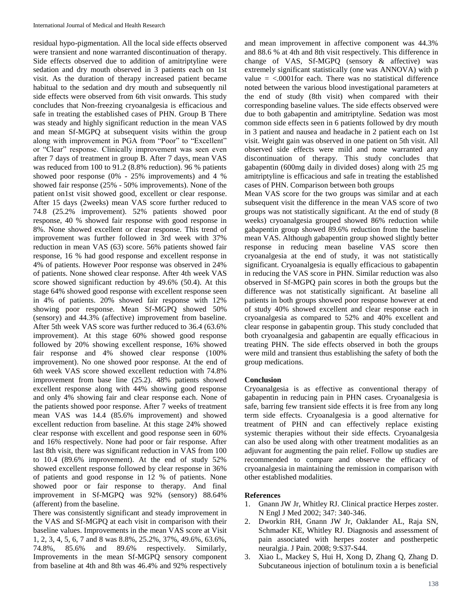residual hypo-pigmentation. All the local side effects observed were transient and none warranted discontinuation of therapy. Side effects observed due to addition of amitriptyline were sedation and dry mouth observed in 3 patients each on 1st visit. As the duration of therapy increased patient became habitual to the sedation and dry mouth and subsequently nil side effects were observed from 6th visit onwards. This study concludes that Non-freezing cryoanalgesia is efficacious and safe in treating the established cases of PHN. Group B There was steady and highly significant reduction in the mean VAS and mean Sf-MGPQ at subsequent visits within the group along with improvement in PGA from "Poor" to "Excellent" or "Clear" response. Clinically improvement was seen even after 7 days of treatment in group B. After 7 days, mean VAS was reduced from 100 to 91.2 (8.8% reduction). 96 % patients showed poor response (0% - 25% improvements) and 4 % showed fair response (25% - 50% improvements). None of the patient on1st visit showed good, excellent or clear response. After 15 days (2weeks) mean VAS score further reduced to 74.8 (25.2% improvement). 52% patients showed poor response, 40 % showed fair response with good response in 8%. None showed excellent or clear response. This trend of improvement was further followed in 3rd week with 37% reduction in mean VAS (63) score. 56% patients showed fair response, 16 % had good response and excellent response in 4% of patients. However Poor response was observed in 24% of patients. None showed clear response. After 4th week VAS score showed significant reduction by 49.6% (50.4). At this stage 64% showed good response with excellent response seen in 4% of patients. 20% showed fair response with 12% showing poor response. Mean Sf-MGPQ showed 50% (sensory) and 44.3% (affective) improvement from baseline. After 5th week VAS score was further reduced to 36.4 (63.6% improvement). At this stage 60% showed good response followed by 20% showing excellent response, 16% showed fair response and 4% showed clear response (100% improvement). No one showed poor response. At the end of 6th week VAS score showed excellent reduction with 74.8% improvement from base line (25.2). 48% patients showed excellent response along with 44% showing good response and only 4% showing fair and clear response each. None of the patients showed poor response. After 7 weeks of treatment mean VAS was 14.4 (85.6% improvement) and showed excellent reduction from baseline. At this stage 24% showed clear response with excellent and good response seen in 60% and 16% respectively. None had poor or fair response. After last 8th visit, there was significant reduction in VAS from 100 to 10.4 (89.6% improvement). At the end of study 52% showed excellent response followed by clear response in 36% of patients and good response in 12 % of patients. None showed poor or fair response to therapy. And final improvement in Sf-MGPQ was 92% (sensory) 88.64% (afferent) from the baseline.

There was consistently significant and steady improvement in the VAS and Sf-MGPQ at each visit in comparison with their baseline values. Improvements in the mean VAS score at Visit 1, 2, 3, 4, 5, 6, 7 and 8 was 8.8%, 25.2%, 37%, 49.6%, 63.6%, 74.8%, 85.6% and 89.6% respectively. Similarly, Improvements in the mean Sf-MGPQ sensory component from baseline at 4th and 8th was 46.4% and 92% respectively

and mean improvement in affective component was 44.3% and 88.6 % at 4th and 8th visit respectively. This difference in change of VAS, Sf-MGPQ (sensory & affective) was extremely significant statistically (one was ANNOVA) with p value  $=$  <.0001for each. There was no statistical difference noted between the various blood investigational parameters at the end of study (8th visit) when compared with their corresponding baseline values. The side effects observed were due to both gabapentin and amitriptyline. Sedation was most common side effects seen in 6 patients followed by dry mouth in 3 patient and nausea and headache in 2 patient each on 1st visit. Weight gain was observed in one patient on 5th visit. All observed side effects were mild and none warranted any discontinuation of therapy. This study concludes that gabapentin (600mg daily in divided doses) along with 25 mg amitriptyline is efficacious and safe in treating the established cases of PHN. Comparison between both groups

Mean VAS score for the two groups was similar and at each subsequent visit the difference in the mean VAS score of two groups was not statistically significant. At the end of study (8 weeks) cryoanalgesia grouped showed 86% reduction while gabapentin group showed 89.6% reduction from the baseline mean VAS. Although gabapentin group showed slightly better response in reducing mean baseline VAS score then cryoanalgesia at the end of study, it was not statistically significant. Cryoanalgesia is equally efficacious to gabapentin in reducing the VAS score in PHN. Similar reduction was also observed in Sf-MGPQ pain scores in both the groups but the difference was not statistically significant. At baseline all patients in both groups showed poor response however at end of study 40% showed excellent and clear response each in cryoanalgesia as compared to 52% and 40% excellent and clear response in gabapentin group. This study concluded that both cryoanalgesia and gabapentin are equally efficacious in treating PHN. The side effects observed in both the groups were mild and transient thus establishing the safety of both the group medications.

#### **Conclusion**

Cryoanalgesia is as effective as conventional therapy of gabapentin in reducing pain in PHN cases. Cryoanalgesia is safe, barring few transient side effects it is free from any long term side effects. Cryoanalgesia is a good alternative for treatment of PHN and can effectively replace existing systemic therapies without their side effects. Cryoanalgesia can also be used along with other treatment modalities as an adjuvant for augmenting the pain relief. Follow up studies are recommended to compare and observe the efficacy of cryoanalgesia in maintaining the remission in comparison with other established modalities.

#### **References**

- 1. Gnann JW Jr, Whitley RJ. Clinical practice Herpes zoster. N Engl J Med 2002; 347: 340-346.
- 2. Dworkin RH, Gnann JW Jr, Oaklander AL, Raja SN, Schmader KE, Whitley RJ. Diagnosis and assessment of pain associated with herpes zoster and postherpetic neuralgia. J Pain. 2008; 9:S37-S44.
- 3. Xiao L, Mackey S, Hui H, Xong D, Zhang Q, Zhang D. Subcutaneous injection of botulinum toxin a is beneficial